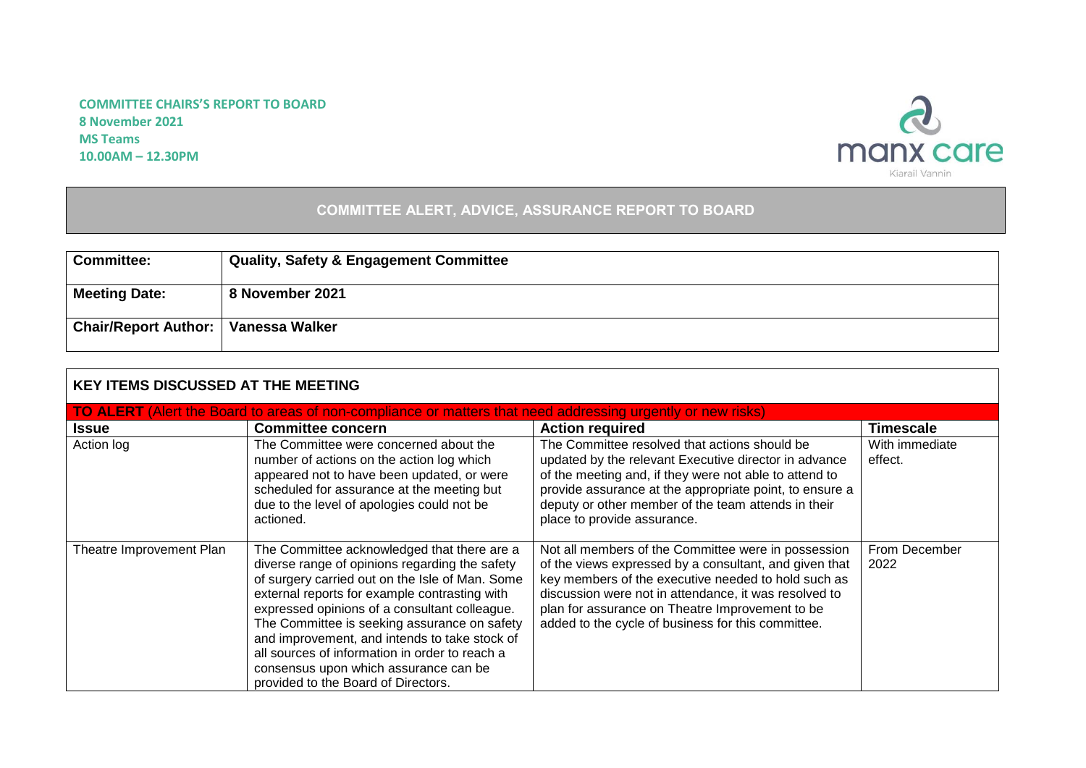## **COMMITTEE CHAIRS'S REPORT TO BOARD 8 November 2021 MS Teams 10.00AM – 12.30PM**



## **COMMITTEE ALERT, ADVICE, ASSURANCE REPORT TO BOARD**

| <b>Committee:</b>                            | <b>Quality, Safety &amp; Engagement Committee</b> |
|----------------------------------------------|---------------------------------------------------|
| <b>Meeting Date:</b>                         | 8 November 2021                                   |
| <b>Chair/Report Author:   Vanessa Walker</b> |                                                   |

| <b>KEY ITEMS DISCUSSED AT THE MEETING</b>                                                                          |                                                                                                                                                                                                                                                                                                                                                                                                                                                                                       |                                                                                                                                                                                                                                                                                                                                        |                           |  |
|--------------------------------------------------------------------------------------------------------------------|---------------------------------------------------------------------------------------------------------------------------------------------------------------------------------------------------------------------------------------------------------------------------------------------------------------------------------------------------------------------------------------------------------------------------------------------------------------------------------------|----------------------------------------------------------------------------------------------------------------------------------------------------------------------------------------------------------------------------------------------------------------------------------------------------------------------------------------|---------------------------|--|
| <b>TO ALERT</b> (Alert the Board to areas of non-compliance or matters that need addressing urgently or new risks) |                                                                                                                                                                                                                                                                                                                                                                                                                                                                                       |                                                                                                                                                                                                                                                                                                                                        |                           |  |
| <b>Issue</b>                                                                                                       | <b>Committee concern</b>                                                                                                                                                                                                                                                                                                                                                                                                                                                              | <b>Action required</b>                                                                                                                                                                                                                                                                                                                 | <b>Timescale</b>          |  |
| Action log                                                                                                         | The Committee were concerned about the<br>number of actions on the action log which<br>appeared not to have been updated, or were<br>scheduled for assurance at the meeting but<br>due to the level of apologies could not be<br>actioned.                                                                                                                                                                                                                                            | The Committee resolved that actions should be<br>updated by the relevant Executive director in advance<br>of the meeting and, if they were not able to attend to<br>provide assurance at the appropriate point, to ensure a<br>deputy or other member of the team attends in their<br>place to provide assurance.                      | With immediate<br>effect. |  |
| Theatre Improvement Plan                                                                                           | The Committee acknowledged that there are a<br>diverse range of opinions regarding the safety<br>of surgery carried out on the Isle of Man. Some<br>external reports for example contrasting with<br>expressed opinions of a consultant colleague.<br>The Committee is seeking assurance on safety<br>and improvement, and intends to take stock of<br>all sources of information in order to reach a<br>consensus upon which assurance can be<br>provided to the Board of Directors. | Not all members of the Committee were in possession<br>of the views expressed by a consultant, and given that<br>key members of the executive needed to hold such as<br>discussion were not in attendance, it was resolved to<br>plan for assurance on Theatre Improvement to be<br>added to the cycle of business for this committee. | From December<br>2022     |  |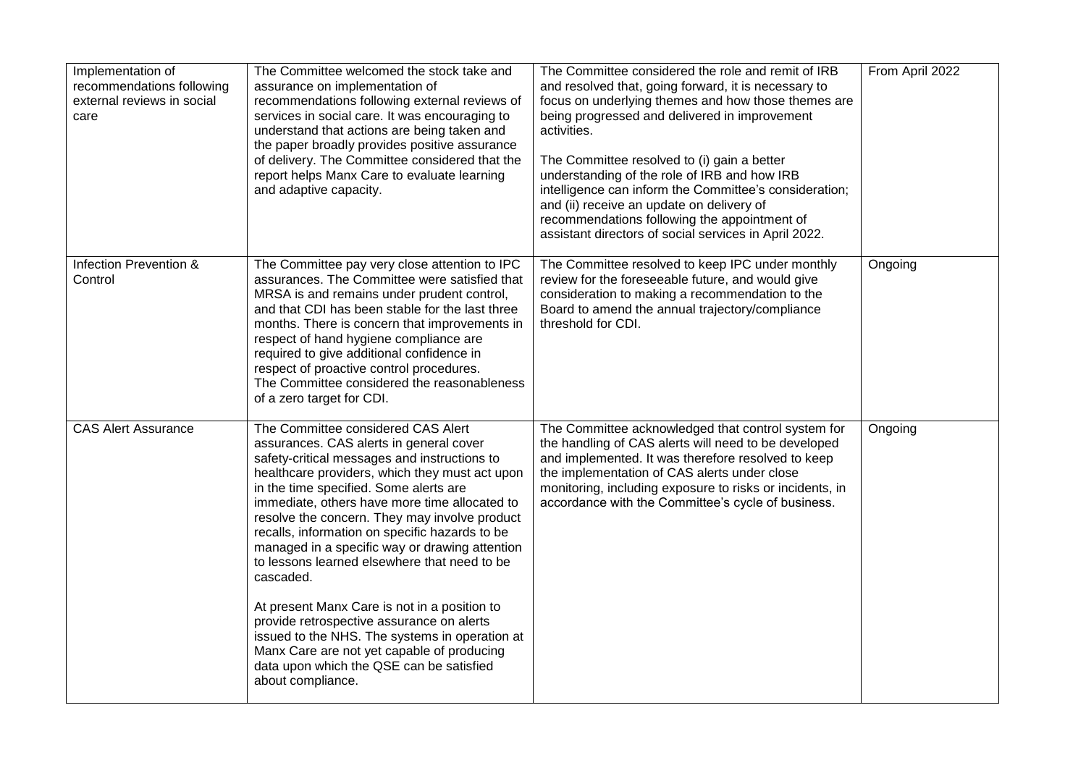| Implementation of<br>recommendations following<br>external reviews in social<br>care | The Committee welcomed the stock take and<br>assurance on implementation of<br>recommendations following external reviews of<br>services in social care. It was encouraging to<br>understand that actions are being taken and<br>the paper broadly provides positive assurance<br>of delivery. The Committee considered that the<br>report helps Manx Care to evaluate learning<br>and adaptive capacity.                                                                                                                                                                                                                                                                                                                                                  | The Committee considered the role and remit of IRB<br>and resolved that, going forward, it is necessary to<br>focus on underlying themes and how those themes are<br>being progressed and delivered in improvement<br>activities.<br>The Committee resolved to (i) gain a better<br>understanding of the role of IRB and how IRB<br>intelligence can inform the Committee's consideration;<br>and (ii) receive an update on delivery of<br>recommendations following the appointment of<br>assistant directors of social services in April 2022. | From April 2022 |
|--------------------------------------------------------------------------------------|------------------------------------------------------------------------------------------------------------------------------------------------------------------------------------------------------------------------------------------------------------------------------------------------------------------------------------------------------------------------------------------------------------------------------------------------------------------------------------------------------------------------------------------------------------------------------------------------------------------------------------------------------------------------------------------------------------------------------------------------------------|--------------------------------------------------------------------------------------------------------------------------------------------------------------------------------------------------------------------------------------------------------------------------------------------------------------------------------------------------------------------------------------------------------------------------------------------------------------------------------------------------------------------------------------------------|-----------------|
| Infection Prevention &<br>Control                                                    | The Committee pay very close attention to IPC<br>assurances. The Committee were satisfied that<br>MRSA is and remains under prudent control,<br>and that CDI has been stable for the last three<br>months. There is concern that improvements in<br>respect of hand hygiene compliance are<br>required to give additional confidence in<br>respect of proactive control procedures.<br>The Committee considered the reasonableness<br>of a zero target for CDI.                                                                                                                                                                                                                                                                                            | The Committee resolved to keep IPC under monthly<br>review for the foreseeable future, and would give<br>consideration to making a recommendation to the<br>Board to amend the annual trajectory/compliance<br>threshold for CDI.                                                                                                                                                                                                                                                                                                                | Ongoing         |
| <b>CAS Alert Assurance</b>                                                           | The Committee considered CAS Alert<br>assurances. CAS alerts in general cover<br>safety-critical messages and instructions to<br>healthcare providers, which they must act upon<br>in the time specified. Some alerts are<br>immediate, others have more time allocated to<br>resolve the concern. They may involve product<br>recalls, information on specific hazards to be<br>managed in a specific way or drawing attention<br>to lessons learned elsewhere that need to be<br>cascaded.<br>At present Manx Care is not in a position to<br>provide retrospective assurance on alerts<br>issued to the NHS. The systems in operation at<br>Manx Care are not yet capable of producing<br>data upon which the QSE can be satisfied<br>about compliance. | The Committee acknowledged that control system for<br>the handling of CAS alerts will need to be developed<br>and implemented. It was therefore resolved to keep<br>the implementation of CAS alerts under close<br>monitoring, including exposure to risks or incidents, in<br>accordance with the Committee's cycle of business.                                                                                                                                                                                                               | Ongoing         |